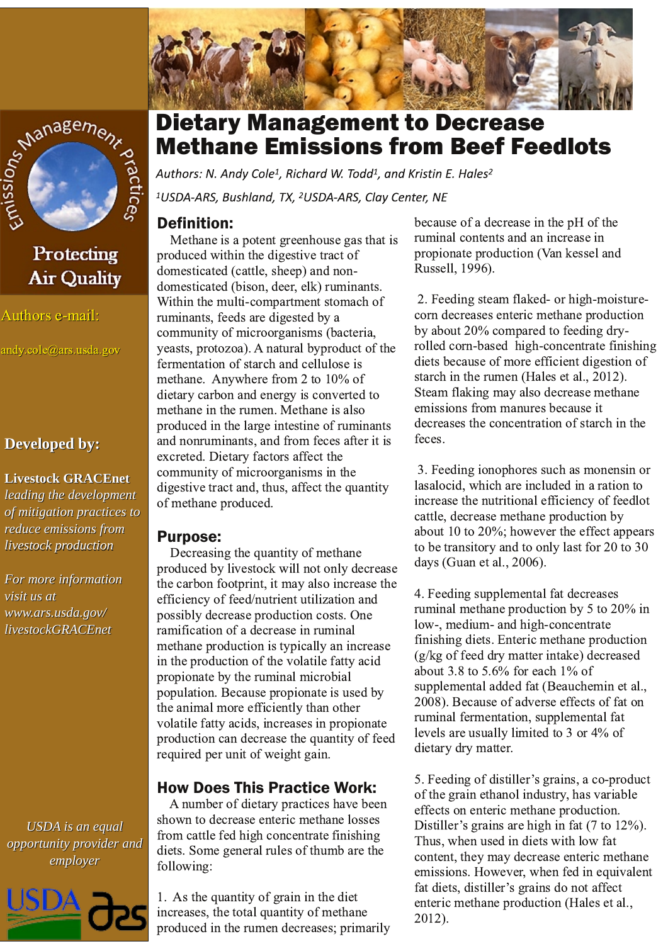



## Protecting **Air Quality**

#### Authors e-mail:

andy.cole@ars.usda.gov

### **Developed by:**

#### **Livestock GRACEnet**

leading the development of mitigation practices to reduce emissions from livestock production

For more information visit us at www.ars.usda.gov/ livestockGRACEnet





# **Dietary Management to Decrease Methane Emissions from Beef Feedlots**

Authors: N. Andy Cole<sup>1</sup>, Richard W. Todd<sup>1</sup>, and Kristin E. Hales<sup>2</sup> <sup>1</sup>USDA-ARS, Bushland, TX, <sup>2</sup>USDA-ARS, Clay Center, NE

## **Definition:**

Methane is a potent greenhouse gas that is produced within the digestive tract of domesticated (cattle, sheep) and nondomesticated (bison, deer, elk) ruminants. Within the multi-compartment stomach of ruminants, feeds are digested by a community of microorganisms (bacteria, yeasts, protozoa). A natural byproduct of the fermentation of starch and cellulose is methane. Anywhere from 2 to 10% of dietary carbon and energy is converted to methane in the rumen. Methane is also produced in the large intestine of ruminants and nonruminants, and from feces after it is excreted. Dietary factors affect the community of microorganisms in the digestive tract and, thus, affect the quantity of methane produced.

### **Purpose:**

Decreasing the quantity of methane produced by livestock will not only decrease the carbon footprint, it may also increase the efficiency of feed/nutrient utilization and possibly decrease production costs. One ramification of a decrease in ruminal methane production is typically an increase in the production of the volatile fatty acid propionate by the ruminal microbial population. Because propionate is used by the animal more efficiently than other volatile fatty acids, increases in propionate production can decrease the quantity of feed required per unit of weight gain.

## **How Does This Practice Work:**

A number of dietary practices have been shown to decrease enteric methane losses from cattle fed high concentrate finishing diets. Some general rules of thumb are the following:

1. As the quantity of grain in the diet increases, the total quantity of methane produced in the rumen decreases; primarily because of a decrease in the pH of the ruminal contents and an increase in propionate production (Van kessel and Russell, 1996).

2. Feeding steam flaked- or high-moisturecorn decreases enteric methane production by about 20% compared to feeding dryrolled corn-based high-concentrate finishing diets because of more efficient digestion of starch in the rumen (Hales et al., 2012). Steam flaking may also decrease methane emissions from manures because it decreases the concentration of starch in the feces.

3. Feeding ionophores such as monensin or lasalocid, which are included in a ration to increase the nutritional efficiency of feedlot cattle, decrease methane production by about 10 to  $20\%$ ; however the effect appears to be transitory and to only last for 20 to 30 days (Guan et al., 2006).

4. Feeding supplemental fat decreases ruminal methane production by 5 to 20% in low-, medium- and high-concentrate finishing diets. Enteric methane production (g/kg of feed dry matter intake) decreased about 3.8 to 5.6% for each  $1\%$  of supplemental added fat (Beauchemin et al., 2008). Because of adverse effects of fat on ruminal fermentation, supplemental fat levels are usually limited to 3 or 4% of dietary dry matter.

5. Feeding of distiller's grains, a co-product of the grain ethanol industry, has variable effects on enteric methane production. Distiller's grains are high in fat (7 to 12%). Thus, when used in diets with low fat content, they may decrease enteric methane emissions. However, when fed in equivalent fat diets, distiller's grains do not affect enteric methane production (Hales et al., 2012).